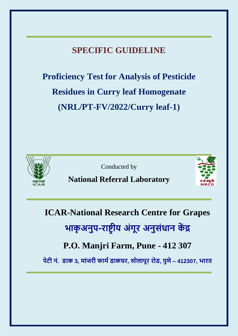# **SPECIFIC GUIDELINE**

**Proficiency Test for Analysis of Pesticide Residues in Curry leaf Homogenate (NRL/PT-FV/2022/Curry leaf-1)**



Conducted by

# **National Referral Laboratory**



**ICAR-National Research Centre for Grapes भाकृ अनुप-राष्ट्र ीय अंगूर अनुसंधान कें द्र**

# **P.O. Manjri Farm, Pune - 412 307**

**पेटी नं. डाक 3, मांजरी फाममडाकघर, सोलापूर रोड, पुणे– 412307, भारत**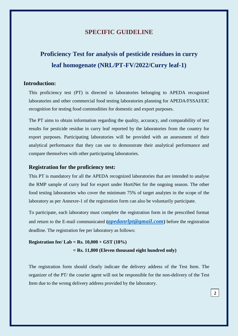### **SPECIFIC GUIDELINE**

# **Proficiency Test for analysis of pesticide residues in curry leaf homogenate (NRL/PT-FV/2022/Curry leaf-1)**

#### **Introduction:**

This proficiency test (PT) is directed to laboratories belonging to APEDA recognized laboratories and other commercial food testing laboratories planning for APEDA/FSSAI/EIC recognition for testing food commodities for domestic and export purposes.

The PT aims to obtain information regarding the quality, accuracy, and comparability of test results for pesticide residue in curry leaf reported by the laboratories from the country for export purposes. Participating laboratories will be provided with an assessment of their analytical performance that they can use to demonstrate their analytical performance and compare themselves with other participating laboratories.

#### **Registration for the proficiency test:**

This PT is mandatory for all the APEDA recognized laboratories that are intended to analyse the RMP sample of curry leaf for export under HortiNet for the ongoing season. The other food testing laboratories who cover the minimum 75% of target analytes in the scope of the laboratory as per Annexre-1 of the registration form can also be voluntarily participate.

To participate, each laboratory must complete the registration form in the prescribed format and return to the E-mail communicated **(***[apedanrlpt@gmail.com](mailto:apedanrlpt@gmail.com)***)** before the registration deadline. The registration fee per laboratory as follows:

## **Registration fee/ Lab = Rs. 10,000 + GST (18%) = Rs. 11,800 (Eleven thousand eight hundred only)**

The registration form should clearly indicate the delivery address of the Test Item. The organizer of the PT/ the courier agent will not be responsible for the non-delivery of the Test Item due to the wrong delivery address provided by the laboratory.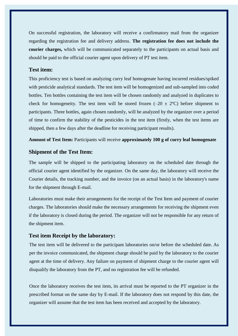On successful registration, the laboratory will receive a confirmatory mail from the organizer regarding the registration fee and delivery address. **The registration fee does not include the courier charges,** which will be communicated separately to the participants on actual basis and should be paid to the official courier agent upon delivery of PT test item.

#### **Test item:**

This proficiency test is based on analyzing curry leaf homogenate having incurred residues/spiked with pesticide analytical standards. The test item will be homogenized and sub-sampled into coded bottles. Ten bottles containing the test item will be chosen randomly and analyzed in duplicates to check for homogeneity. The test item will be stored frozen  $(-20 \pm 2^{\circ}C)$  before shipment to participants. Three bottles, again chosen randomly, will be analyzed by the organizer over a period of time to confirm the stability of the pesticides in the test item (firstly, when the test items are shipped, then a few days after the deadline for receiving participant results).

**Amount of Test Item:** Participants will receive **approximately 100 g of curry leaf homogenate**

#### **Shipment of the Test Item:**

The sample will be shipped to the participating laboratory on the scheduled date through the official courier agent identified by the organizer. On the same day, the laboratory will receive the Courier details, the tracking number, and the invoice (on an actual basis) in the laboratory's name for the shipment through E-mail.

Laboratories must make their arrangements for the receipt of the Test Item and payment of courier charges. The laboratories should make the necessary arrangements for receiving the shipment even if the laboratory is closed during the period. The organizer will not be responsible for any return of the shipment item.

#### **Test item Receipt by the laboratory:**

The test item will be delivered to the participant laboratories on/or before the scheduled date. As per the invoice communicated, the shipment charge should be paid by the laboratory to the courier agent at the time of delivery. Any failure on payment of shipment charge to the courier agent will disqualify the laboratory from the PT, and no registration fee will be refunded.

Once the laboratory receives the test item, its arrival must be reported to the PT organizer in the prescribed format on the same day by E-mail. If the laboratory does not respond by this date, the organizer will assume that the test item has been received and accepted by the laboratory.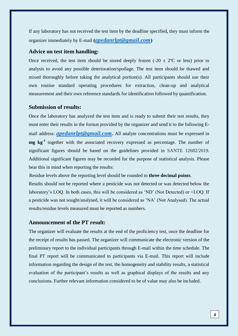If any laboratory has not received the test item by the deadline specified**,** they must inform the organizer immediately by E-mail **(***[apedanrlpt@gmail.com](mailto:apedanrlpt@gmail.com)***)**

#### **Advice on test item handling:**

Once received, the test item should be stored deeply frozen  $(-20 \pm 2^{\circ}C)$  or less) prior to analysis to avoid any possible deterioration/spoilage. The test item should be thawed and mixed thoroughly before taking the analytical portion(s). All participants should use their own routine standard operating procedures for extraction, clean-up and analytical measurement and their own reference standards for identification followed by quantification.

#### **Submission of results:**

Once the laboratory has analyzed the test item and is ready to submit their test results, they must enter their results in the format provided by the organizer and send it to the following Email address: *[apedanrlpt@gmail.com](mailto:apedanrlpt@gmail.com)***.** All analyte concentrations must be expressed in **mg kg-1** together with the associated recovery expressed as percentage. The number of significant figures should be based on the guidelines provided in SANTE 12682/2019. Additional significant figures may be recorded for the purpose of statistical analysis. Please bear this in mind when reporting the results:

Residue levels above the reporting level should be rounded to **three decimal points**.

Results should not be reported where a pesticide was not detected or was detected below the laboratory's LOQ. In both cases, this will be considered as 'ND' (Not Detected) or <LOQ. If a pesticide was not sought/analysed, it will be considered as 'NA' (Not Analysed). The actual results/residue levels measured must be reported as numbers.

### **Announcement of the PT result:**

The organizer will evaluate the results at the end of the proficiency test, once the deadline for the receipt of results has passed. The organizer will communicate the electronic version of the preliminary report to the individual participants through E-mail within the time schedule. The final PT report will be communicated to participants via E-mail. This report will include information regarding the design of the test, the homogeneity and stability results, a statistical evaluation of the participant's results as well as graphical displays of the results and any conclusions. Further relevant information considered to be of value may also be included.